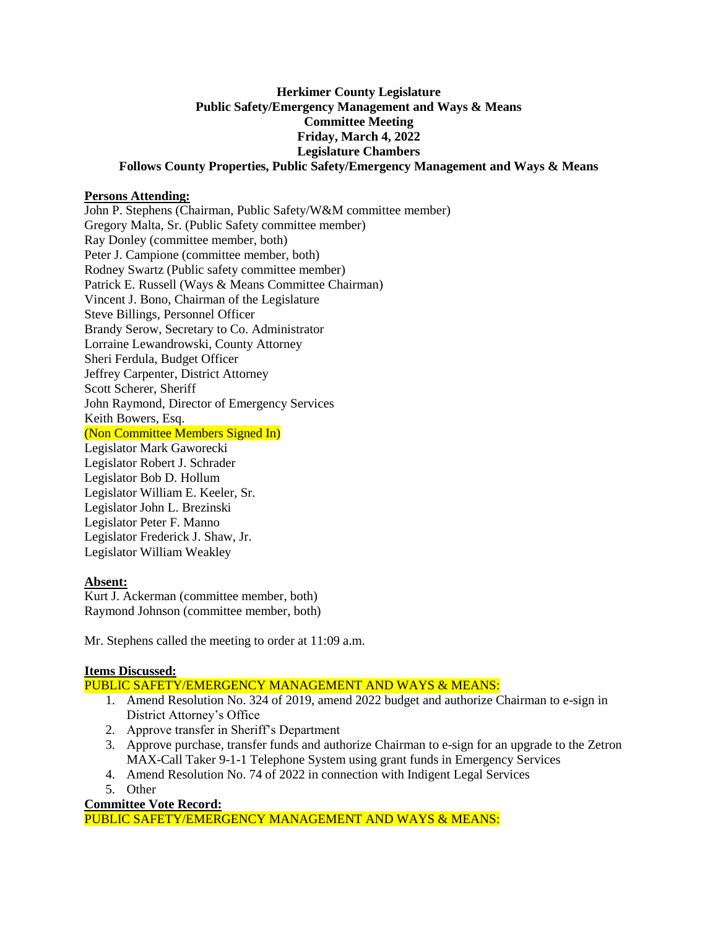### **Herkimer County Legislature Public Safety/Emergency Management and Ways & Means Committee Meeting Friday, March 4, 2022 Legislature Chambers Follows County Properties, Public Safety/Emergency Management and Ways & Means**

## **Persons Attending:**

John P. Stephens (Chairman, Public Safety/W&M committee member) Gregory Malta, Sr. (Public Safety committee member) Ray Donley (committee member, both) Peter J. Campione (committee member, both) Rodney Swartz (Public safety committee member) Patrick E. Russell (Ways & Means Committee Chairman) Vincent J. Bono, Chairman of the Legislature Steve Billings, Personnel Officer Brandy Serow, Secretary to Co. Administrator Lorraine Lewandrowski, County Attorney Sheri Ferdula, Budget Officer Jeffrey Carpenter, District Attorney Scott Scherer, Sheriff John Raymond, Director of Emergency Services Keith Bowers, Esq. (Non Committee Members Signed In) Legislator Mark Gaworecki Legislator Robert J. Schrader Legislator Bob D. Hollum Legislator William E. Keeler, Sr. Legislator John L. Brezinski Legislator Peter F. Manno Legislator Frederick J. Shaw, Jr. Legislator William Weakley

# **Absent:**

Kurt J. Ackerman (committee member, both) Raymond Johnson (committee member, both)

Mr. Stephens called the meeting to order at 11:09 a.m.

## **Items Discussed:**

PUBLIC SAFETY/EMERGENCY MANAGEMENT AND WAYS & MEANS:

- 1. Amend Resolution No. 324 of 2019, amend 2022 budget and authorize Chairman to e-sign in District Attorney's Office
- 2. Approve transfer in Sheriff's Department
- 3. Approve purchase, transfer funds and authorize Chairman to e-sign for an upgrade to the Zetron MAX-Call Taker 9-1-1 Telephone System using grant funds in Emergency Services
- 4. Amend Resolution No. 74 of 2022 in connection with Indigent Legal Services
- 5. Other

# **Committee Vote Record:**

PUBLIC SAFETY/EMERGENCY MANAGEMENT AND WAYS & MEANS: